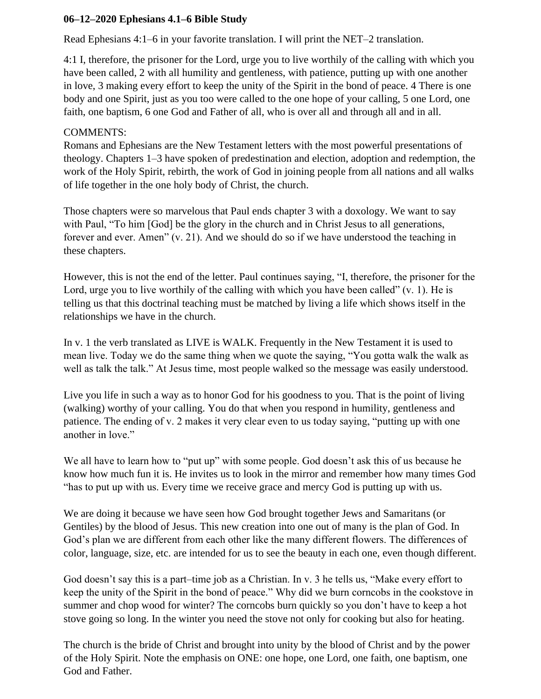## **06–12–2020 Ephesians 4.1–6 Bible Study**

Read Ephesians 4:1–6 in your favorite translation. I will print the NET–2 translation.

4:1 I, therefore, the prisoner for the Lord, urge you to live worthily of the calling with which you have been called, 2 with all humility and gentleness, with patience, putting up with one another in love, 3 making every effort to keep the unity of the Spirit in the bond of peace. 4 There is one body and one Spirit, just as you too were called to the one hope of your calling, 5 one Lord, one faith, one baptism, 6 one God and Father of all, who is over all and through all and in all.

## COMMENTS:

Romans and Ephesians are the New Testament letters with the most powerful presentations of theology. Chapters 1–3 have spoken of predestination and election, adoption and redemption, the work of the Holy Spirit, rebirth, the work of God in joining people from all nations and all walks of life together in the one holy body of Christ, the church.

Those chapters were so marvelous that Paul ends chapter 3 with a doxology. We want to say with Paul, "To him [God] be the glory in the church and in Christ Jesus to all generations, forever and ever. Amen" (v. 21). And we should do so if we have understood the teaching in these chapters.

However, this is not the end of the letter. Paul continues saying, "I, therefore, the prisoner for the Lord, urge you to live worthily of the calling with which you have been called" (v. 1). He is telling us that this doctrinal teaching must be matched by living a life which shows itself in the relationships we have in the church.

In v. 1 the verb translated as LIVE is WALK. Frequently in the New Testament it is used to mean live. Today we do the same thing when we quote the saying, "You gotta walk the walk as well as talk the talk." At Jesus time, most people walked so the message was easily understood.

Live you life in such a way as to honor God for his goodness to you. That is the point of living (walking) worthy of your calling. You do that when you respond in humility, gentleness and patience. The ending of v. 2 makes it very clear even to us today saying, "putting up with one another in love."

We all have to learn how to "put up" with some people. God doesn't ask this of us because he know how much fun it is. He invites us to look in the mirror and remember how many times God "has to put up with us. Every time we receive grace and mercy God is putting up with us.

We are doing it because we have seen how God brought together Jews and Samaritans (or Gentiles) by the blood of Jesus. This new creation into one out of many is the plan of God. In God's plan we are different from each other like the many different flowers. The differences of color, language, size, etc. are intended for us to see the beauty in each one, even though different.

God doesn't say this is a part–time job as a Christian. In v. 3 he tells us, "Make every effort to keep the unity of the Spirit in the bond of peace." Why did we burn corncobs in the cookstove in summer and chop wood for winter? The corncobs burn quickly so you don't have to keep a hot stove going so long. In the winter you need the stove not only for cooking but also for heating.

The church is the bride of Christ and brought into unity by the blood of Christ and by the power of the Holy Spirit. Note the emphasis on ONE: one hope, one Lord, one faith, one baptism, one God and Father.